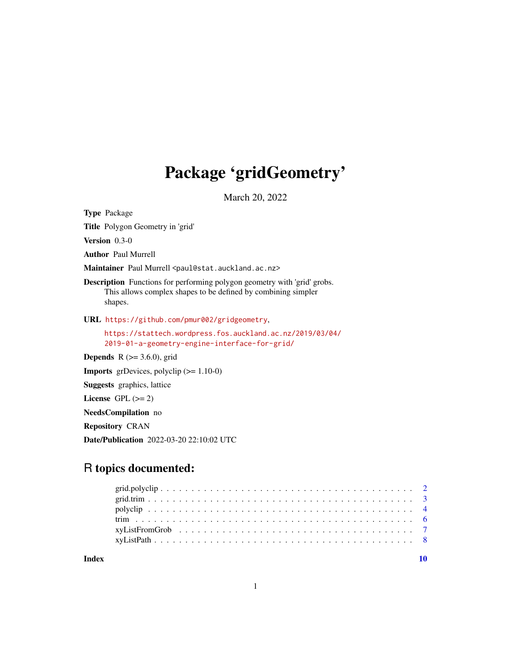## Package 'gridGeometry'

March 20, 2022

Type Package

Title Polygon Geometry in 'grid'

Version 0.3-0

Author Paul Murrell

Maintainer Paul Murrell <paul@stat.auckland.ac.nz>

Description Functions for performing polygon geometry with 'grid' grobs. This allows complex shapes to be defined by combining simpler shapes.

URL <https://github.com/pmur002/gridgeometry>,

[https://stattech.wordpress.fos.auckland.ac.nz/2019/03/04/](https://stattech.wordpress.fos.auckland.ac.nz/2019/03/04/2019-01-a-geometry-engine-interface-for-grid/) [2019-01-a-geometry-engine-interface-for-grid/](https://stattech.wordpress.fos.auckland.ac.nz/2019/03/04/2019-01-a-geometry-engine-interface-for-grid/)

**Depends** R  $(>= 3.6.0)$ , grid

**Imports** grDevices, polyclip  $(>= 1.10-0)$ 

Suggests graphics, lattice

License GPL  $(>= 2)$ 

NeedsCompilation no

Repository CRAN

Date/Publication 2022-03-20 22:10:02 UTC

## R topics documented:

 $\blacksquare$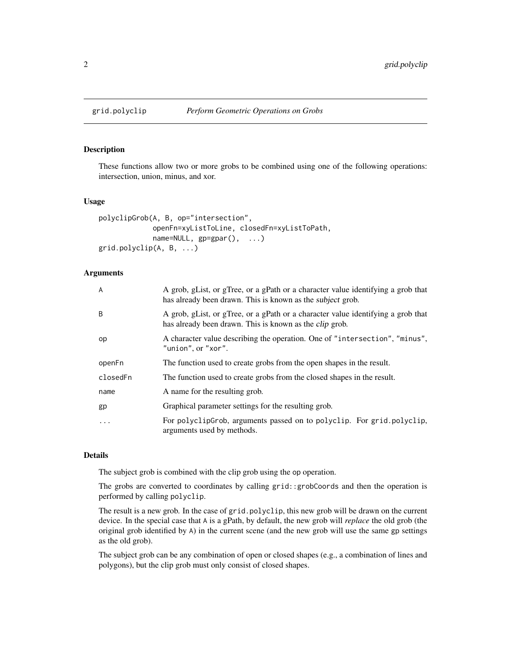#### Description

These functions allow two or more grobs to be combined using one of the following operations: intersection, union, minus, and xor.

#### Usage

```
polyclipGrob(A, B, op="intersection",
             openFn=xyListToLine, closedFn=xyListToPath,
             name=NULL, gp=gpar(), ...)
grid.polyclip(A, B, ...)
```
#### Arguments

| A         | A grob, gList, or gTree, or a gPath or a character value identifying a grob that<br>has already been drawn. This is known as the <i>subject</i> grob. |
|-----------|-------------------------------------------------------------------------------------------------------------------------------------------------------|
| B         | A grob, gList, or gTree, or a gPath or a character value identifying a grob that<br>has already been drawn. This is known as the <i>clip</i> grob.    |
| op        | A character value describing the operation. One of "intersection", "minus",<br>"union", or "xor".                                                     |
| openFn    | The function used to create grobs from the open shapes in the result.                                                                                 |
| closedFn  | The function used to create grobs from the closed shapes in the result.                                                                               |
| name      | A name for the resulting grob.                                                                                                                        |
| gp        | Graphical parameter settings for the resulting grob.                                                                                                  |
| $\ddotsc$ | For polyclipGrob, arguments passed on to polyclip. For grid.polyclip,<br>arguments used by methods.                                                   |

#### Details

The subject grob is combined with the clip grob using the op operation.

The grobs are converted to coordinates by calling grid::grobCoords and then the operation is performed by calling polyclip.

The result is a new grob. In the case of grid.polyclip, this new grob will be drawn on the current device. In the special case that A is a gPath, by default, the new grob will *replace* the old grob (the original grob identified by A) in the current scene (and the new grob will use the same gp settings as the old grob).

The subject grob can be any combination of open or closed shapes (e.g., a combination of lines and polygons), but the clip grob must only consist of closed shapes.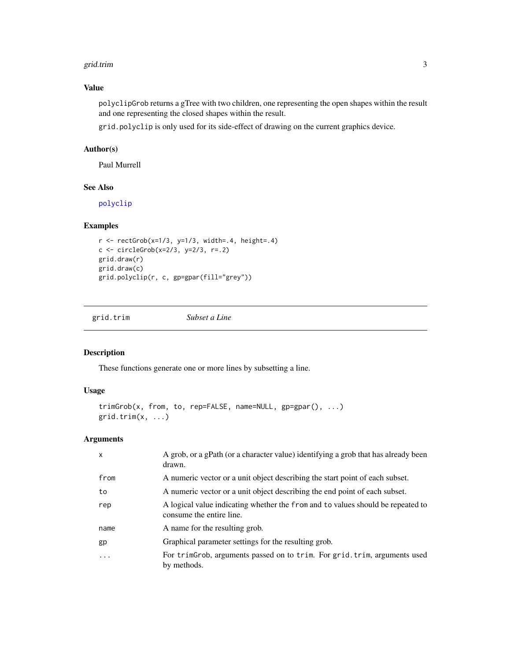#### <span id="page-2-0"></span>grid.trim 3

## Value

polyclipGrob returns a gTree with two children, one representing the open shapes within the result and one representing the closed shapes within the result.

grid.polyclip is only used for its side-effect of drawing on the current graphics device.

#### Author(s)

Paul Murrell

## See Also

[polyclip](#page-3-1)

## Examples

```
r <- rectGrob(x=1/3, y=1/3, width=.4, height=.4)c <- circleGrob(x=2/3, y=2/3, r=.2)
grid.draw(r)
grid.draw(c)
grid.polyclip(r, c, gp=gpar(fill="grey"))
```
grid.trim *Subset a Line*

## Description

These functions generate one or more lines by subsetting a line.

## Usage

```
trimGrob(x, from, to, rep=FALSE, name=NULL, gp=gpar(), ...)
grid.trim(x, ...)
```
#### Arguments

| $\mathsf{x}$ | A grob, or a gPath (or a character value) identifying a grob that has already been<br>drawn.                |
|--------------|-------------------------------------------------------------------------------------------------------------|
| from         | A numeric vector or a unit object describing the start point of each subset.                                |
| to           | A numeric vector or a unit object describing the end point of each subset.                                  |
| rep          | A logical value indicating whether the from and to values should be repeated to<br>consume the entire line. |
| name         | A name for the resulting grob.                                                                              |
| gp           | Graphical parameter settings for the resulting grob.                                                        |
| .            | For trimgrob, arguments passed on to trim. For grid. trim, arguments used<br>by methods.                    |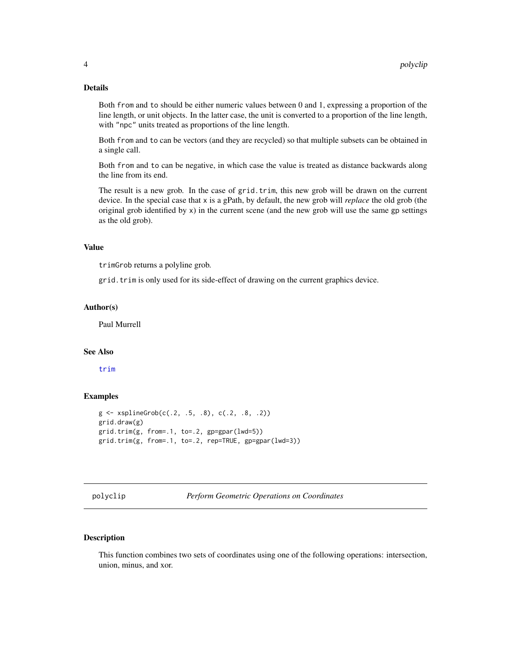#### <span id="page-3-0"></span>Details

Both from and to should be either numeric values between 0 and 1, expressing a proportion of the line length, or unit objects. In the latter case, the unit is converted to a proportion of the line length, with "npc" units treated as proportions of the line length.

Both from and to can be vectors (and they are recycled) so that multiple subsets can be obtained in a single call.

Both from and to can be negative, in which case the value is treated as distance backwards along the line from its end.

The result is a new grob. In the case of grid.trim, this new grob will be drawn on the current device. In the special case that x is a gPath, by default, the new grob will *replace* the old grob (the original grob identified by  $x$ ) in the current scene (and the new grob will use the same gp settings as the old grob).

#### Value

trimGrob returns a polyline grob.

grid.trim is only used for its side-effect of drawing on the current graphics device.

#### Author(s)

Paul Murrell

## See Also

[trim](#page-5-1)

#### Examples

```
g <- xsplineGrob(c(.2, .5, .8), c(.2, .8, .2))
grid.draw(g)
grid.trim(g, from=.1, to=.2, gp=gpar(lwd=5))
grid.trim(g, from=.1, to=.2, rep=TRUE, gp=gpar(lwd=3))
```
<span id="page-3-1"></span>polyclip *Perform Geometric Operations on Coordinates*

#### **Description**

This function combines two sets of coordinates using one of the following operations: intersection, union, minus, and xor.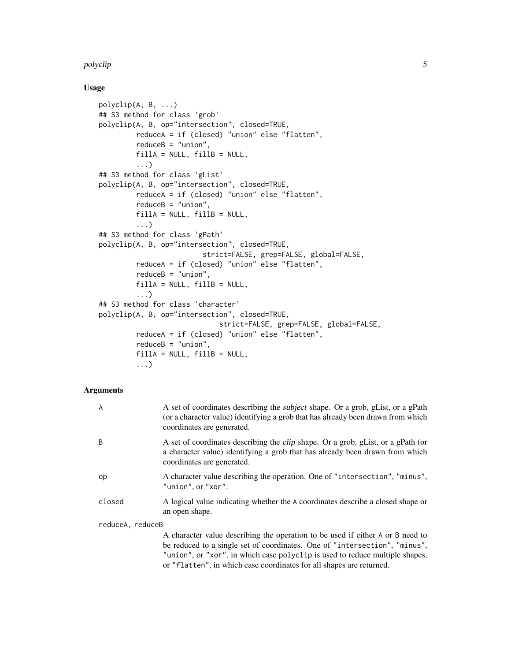#### polyclip 5

#### Usage

```
polyclip(A, B, ...)
## S3 method for class 'grob'
polyclip(A, B, op="intersection", closed=TRUE,
         reduceA = if (closed) "union" else "flatten",
         reduceB = "union",
         fillA = NULL, fillB = NULL,...)
## S3 method for class 'gList'
polyclip(A, B, op="intersection", closed=TRUE,
         reduceA = if (closed) "union" else "flatten",
         reduceB = "union",
         fillA = NULL, fillB = NULL,...)
## S3 method for class 'gPath'
polyclip(A, B, op="intersection", closed=TRUE,
                         strict=FALSE, grep=FALSE, global=FALSE,
         reduceA = if (closed) "union" else "flatten",
         reduceB = "union",
         fillA = NULL, fillB = NULL,...)
## S3 method for class 'character'
polyclip(A, B, op="intersection", closed=TRUE,
                             strict=FALSE, grep=FALSE, global=FALSE,
         reduceA = if (closed) "union" else "flatten",
         reduceB = "union",
         fillA = NULL, fillB = NULL,...)
```
## Arguments

| A                | A set of coordinates describing the <i>subject</i> shape. Or a grob, gList, or a gPath<br>(or a character value) identifying a grob that has already been drawn from which<br>coordinates are generated.                                                                                                             |
|------------------|----------------------------------------------------------------------------------------------------------------------------------------------------------------------------------------------------------------------------------------------------------------------------------------------------------------------|
| B                | A set of coordinates describing the <i>clip</i> shape. Or a grob, gList, or a gPath (or<br>a character value) identifying a grob that has already been drawn from which<br>coordinates are generated.                                                                                                                |
| op               | A character value describing the operation. One of "intersection", "minus",<br>"union", or "xor".                                                                                                                                                                                                                    |
| closed           | A logical value indicating whether the A coordinates describe a closed shape or<br>an open shape.                                                                                                                                                                                                                    |
| reduceA, reduceB |                                                                                                                                                                                                                                                                                                                      |
|                  | A character value describing the operation to be used if either A or B need to<br>be reduced to a single set of coordinates. One of "intersection", "minus",<br>"union", or "xor", in which case polyclip is used to reduce multiple shapes,<br>or "flatten", in which case coordinates for all shapes are returned. |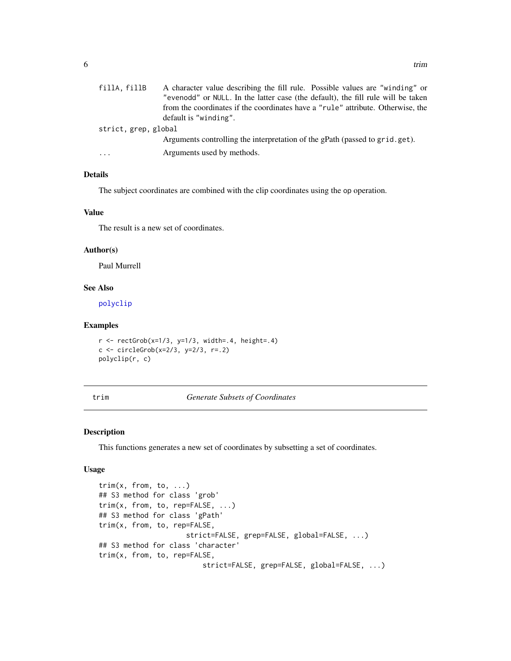<span id="page-5-0"></span>

| fillA, fillB         | A character value describing the fill rule. Possible values are "winding" or     |
|----------------------|----------------------------------------------------------------------------------|
|                      | "evenodd" or NULL. In the latter case (the default), the fill rule will be taken |
|                      | from the coordinates if the coordinates have a "rule" attribute. Otherwise, the  |
|                      | default is "winding".                                                            |
| strict, grep, global |                                                                                  |
|                      | Arguments controlling the interpretation of the gPath (passed to grid.get).      |
| $\cdot$              | Arguments used by methods.                                                       |

## Details

The subject coordinates are combined with the clip coordinates using the op operation.

#### Value

The result is a new set of coordinates.

#### Author(s)

Paul Murrell

#### See Also

[polyclip](#page-3-1)

#### Examples

```
r <- rectGrob(x=1/3, y=1/3, width=.4, height=.4)c <- circleGrob(x=2/3, y=2/3, r=.2)
polyclip(r, c)
```

```
trim Generate Subsets of Coordinates
```
#### Description

This functions generates a new set of coordinates by subsetting a set of coordinates.

#### Usage

```
trim(x, from, to, ...)
## S3 method for class 'grob'
trim(x, from, to, rep=FALSE, ...)
## S3 method for class 'gPath'
trim(x, from, to, rep=FALSE,
                     strict=FALSE, grep=FALSE, global=FALSE, ...)
## S3 method for class 'character'
trim(x, from, to, rep=FALSE,
                         strict=FALSE, grep=FALSE, global=FALSE, ...)
```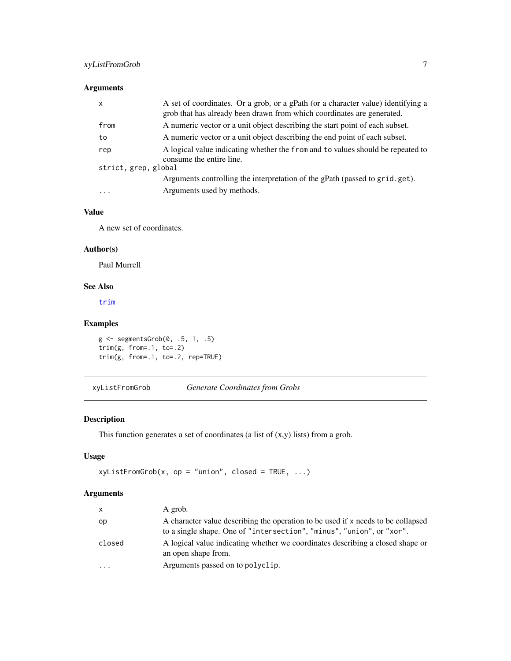## <span id="page-6-0"></span>xyListFromGrob 7

## Arguments

| $\mathsf{x}$         | A set of coordinates. Or a grob, or a gPath (or a character value) identifying a<br>grob that has already been drawn from which coordinates are generated. |
|----------------------|------------------------------------------------------------------------------------------------------------------------------------------------------------|
| from                 | A numeric vector or a unit object describing the start point of each subset.                                                                               |
| to                   | A numeric vector or a unit object describing the end point of each subset.                                                                                 |
| rep                  | A logical value indicating whether the from and to values should be repeated to<br>consume the entire line.                                                |
| strict, grep, global |                                                                                                                                                            |
|                      | Arguments controlling the interpretation of the gPath (passed to grid.get).                                                                                |
| $\cdots$             | Arguments used by methods.                                                                                                                                 |

## Value

A new set of coordinates.

## Author(s)

Paul Murrell

#### See Also

[trim](#page-5-1)

## Examples

```
g <- segmentsGrob(0, .5, 1, .5)
trim(g, from=.1, to=.2)
trim(g, from=.1, to=.2, rep=TRUE)
```
<span id="page-6-1"></span>xyListFromGrob *Generate Coordinates from Grobs*

## Description

This function generates a set of coordinates (a list of (x,y) lists) from a grob.

## Usage

```
xyListFromGrob(x, op = "union", closed = TRUE, ...)
```
## Arguments

| x      | A grob.                                                                                                                                                   |
|--------|-----------------------------------------------------------------------------------------------------------------------------------------------------------|
| op     | A character value describing the operation to be used if x needs to be collapsed<br>to a single shape. One of "intersection", "minus", "union", or "xor". |
| closed | A logical value indicating whether we coordinates describing a closed shape or<br>an open shape from.                                                     |
| .      | Arguments passed on to polyclip.                                                                                                                          |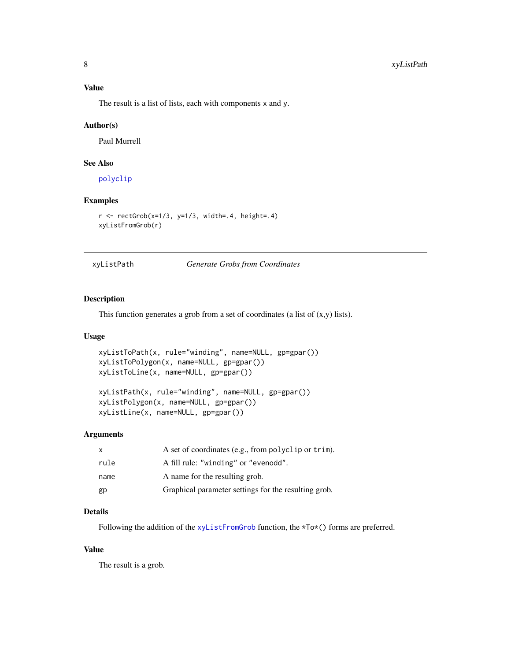#### <span id="page-7-0"></span>Value

The result is a list of lists, each with components x and y.

#### Author(s)

Paul Murrell

## See Also

[polyclip](#page-3-1)

#### Examples

```
r < - rectGrob(x=1/3, y=1/3, width=.4, height=.4)
xyListFromGrob(r)
```
xyListPath *Generate Grobs from Coordinates*

#### Description

This function generates a grob from a set of coordinates (a list of (x,y) lists).

#### Usage

```
xyListToPath(x, rule="winding", name=NULL, gp=gpar())
xyListToPolygon(x, name=NULL, gp=gpar())
xyListToLine(x, name=NULL, gp=gpar())
```

```
xyListPath(x, rule="winding", name=NULL, gp=gpar())
xyListPolygon(x, name=NULL, gp=gpar())
xyListLine(x, name=NULL, gp=gpar())
```
#### Arguments

| X    | A set of coordinates (e.g., from polyclip or trim).  |
|------|------------------------------------------------------|
| rule | A fill rule: "winding" or "evenodd".                 |
| name | A name for the resulting grob.                       |
| gp   | Graphical parameter settings for the resulting grob. |

## Details

Following the addition of the [xyListFromGrob](#page-6-1) function, the \*To\*() forms are preferred.

## Value

The result is a grob.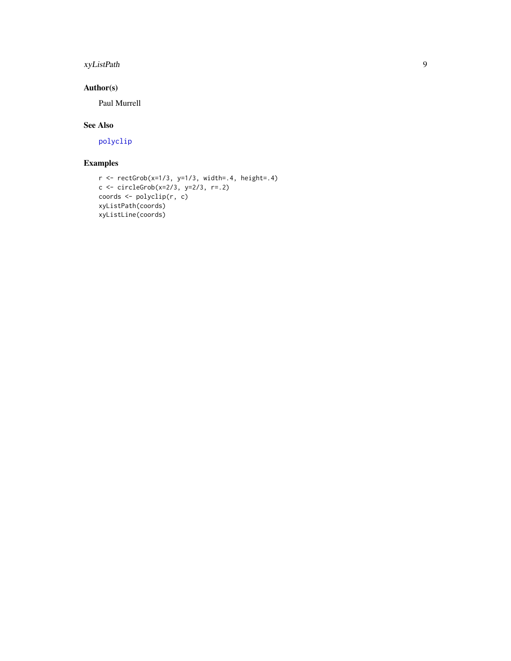## <span id="page-8-0"></span>xyListPath 9

## Author(s)

Paul Murrell

## See Also

[polyclip](#page-3-1)

## Examples

```
r \leftarrow \text{rectGrob}(x=1/3, y=1/3, \text{width}=.4, \text{height}=.4)c <- circleGrob(x=2/3, y=2/3, r=.2)
coords <- polyclip(r, c)
xyListPath(coords)
xyListLine(coords)
```